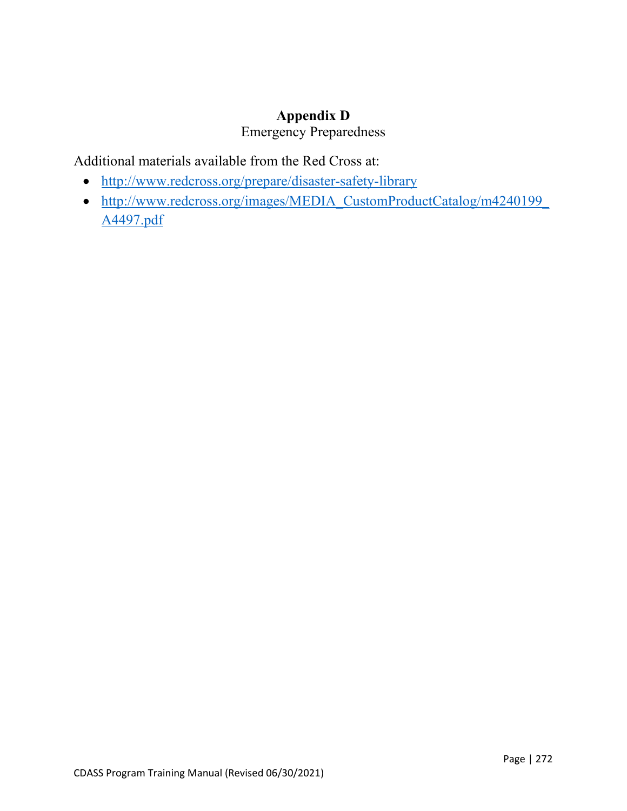#### **Appendix D**

## Emergency Preparedness

Additional materials available from the Red Cross at:

- <http://www.redcross.org/prepare/disaster-safety-library>
- http://www.redcross.org/images/MEDIA\_CustomProductCatalog/m4240199 [A4497.pdf](http://www.redcross.org/images/MEDIA_CustomProductCatalog/m4240199_A4497.pdf)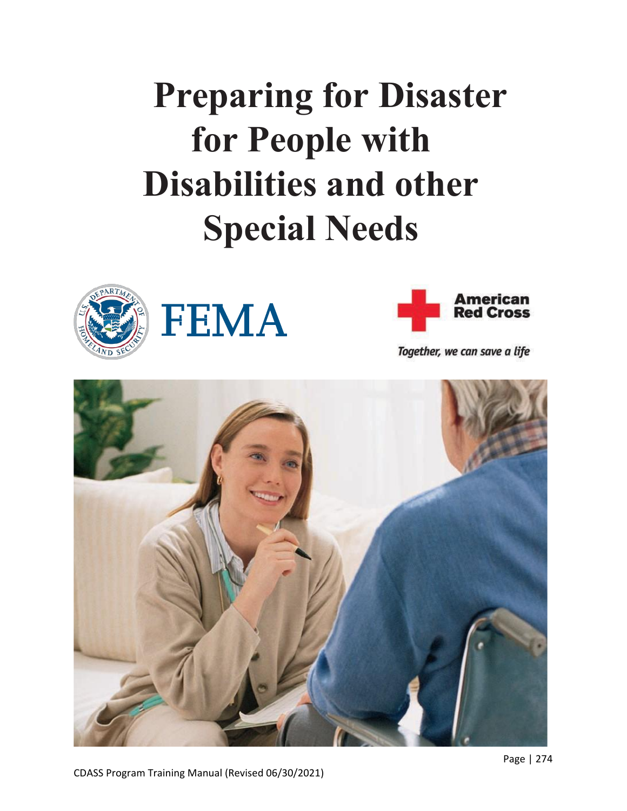# **Preparing for Disaster for People with Disabilities and other Special Needs**







Together, we can save a life



CDASS Program Training Manual (Revised 06/30/2021)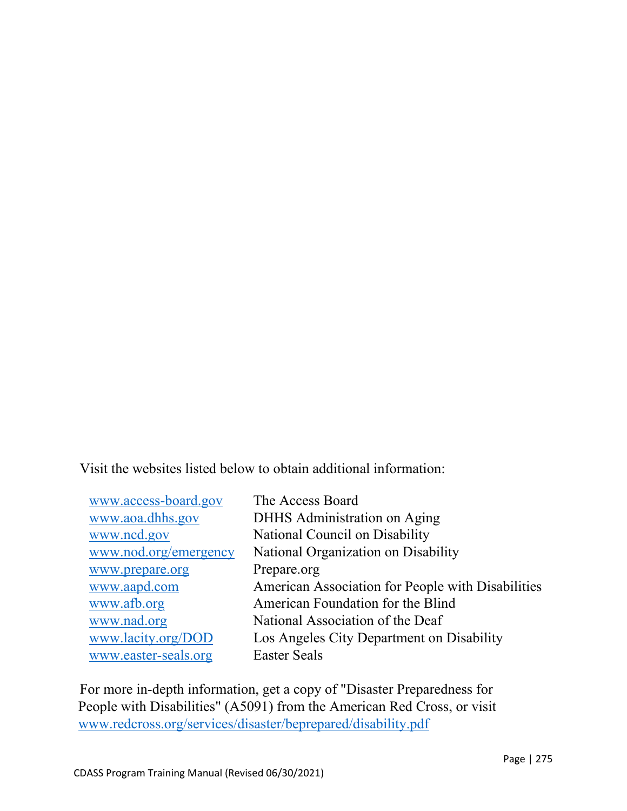Visit the websites listed below to obtain additional information:

| www.access-board.gov  | The Access Board                                  |
|-----------------------|---------------------------------------------------|
| www.aoa.dhhs.gov      | DHHS Administration on Aging                      |
| www.ncd.gov           | National Council on Disability                    |
| www.nod.org/emergency | National Organization on Disability               |
| www.prepare.org       | Prepare.org                                       |
| www.aapd.com          | American Association for People with Disabilities |
| www.afb.org           | American Foundation for the Blind                 |
| www.nad.org           | National Association of the Deaf                  |
| www.lacity.org/DOD    | Los Angeles City Department on Disability         |
| www.easter-seals.org  | <b>Easter Seals</b>                               |

For more in-depth information, get a copy of "Disaster Preparedness for People with Disabilities" (A5091) from the American Red Cross, or visit [www.redcross.org/services/disaster/beprepared/disability.pdf](http://www.redcross.org/services/disaster/beprepared/disability.pdf)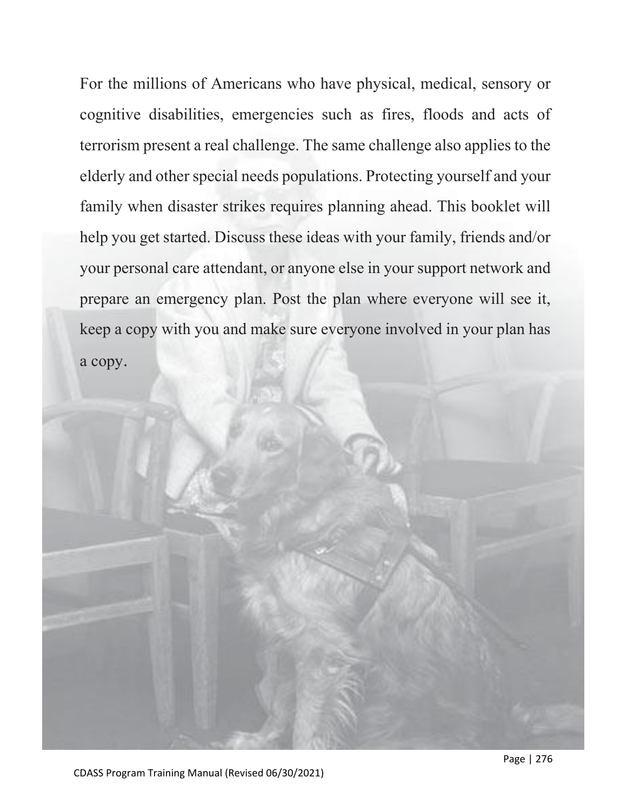For the millions of Americans who have physical, medical, sensory or cognitive disabilities, emergencies such as fires, floods and acts of terrorism present a real challenge. The same challenge also applies to the elderly and other special needs populations. Protecting yourself and your family when disaster strikes requires planning ahead. This booklet will help you get started. Discuss these ideas with your family, friends and/or your personal care attendant, or anyone else in your support network and prepare an emergency plan. Post the plan where everyone will see it, keep a copy with you and make sure everyone involved in your plan has a copy.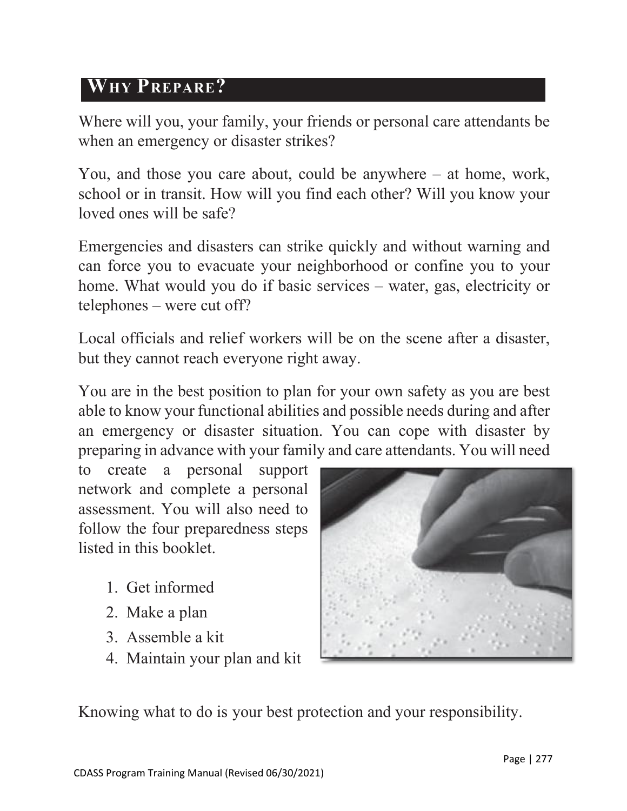# **WHY PREPARE?**

Where will you, your family, your friends or personal care attendants be when an emergency or disaster strikes?

You, and those you care about, could be anywhere – at home, work, school or in transit. How will you find each other? Will you know your loved ones will be safe?

Emergencies and disasters can strike quickly and without warning and can force you to evacuate your neighborhood or confine you to your home. What would you do if basic services – water, gas, electricity or telephones – were cut off?

Local officials and relief workers will be on the scene after a disaster, but they cannot reach everyone right away.

You are in the best position to plan for your own safety as you are best able to know your functional abilities and possible needs during and after an emergency or disaster situation. You can cope with disaster by preparing in advance with your family and care attendants. You will need

to create a personal support network and complete a personal assessment. You will also need to follow the four preparedness steps listed in this booklet.

- 1. Get informed
- 2. Make a plan
- 3. Assemble a kit
- 4. Maintain your plan and kit



Knowing what to do is your best protection and your responsibility.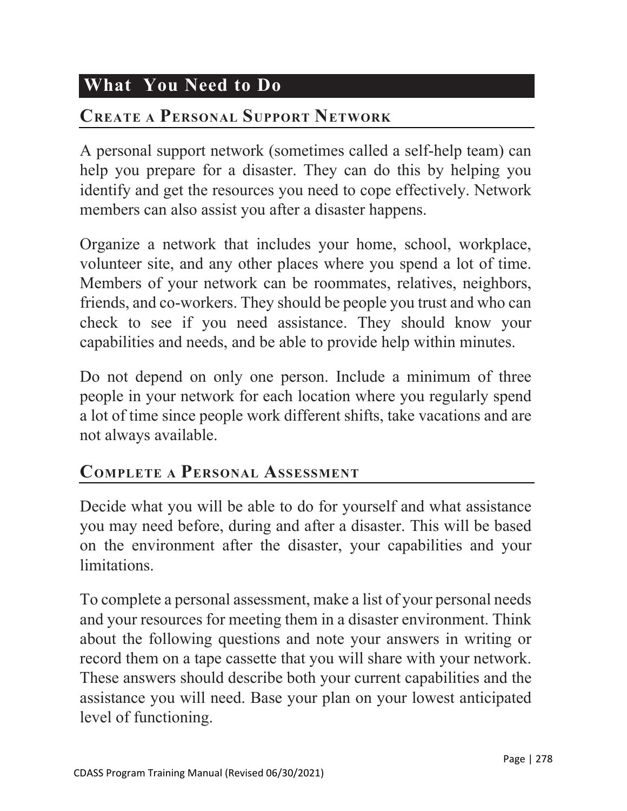# **What You Need to Do**

# **CREATE A PERSONAL SUPPORT NETWORK**

A personal support network (sometimes called a self-help team) can help you prepare for a disaster. They can do this by helping you identify and get the resources you need to cope effectively. Network members can also assist you after a disaster happens.

Organize a network that includes your home, school, workplace, volunteer site, and any other places where you spend a lot of time. Members of your network can be roommates, relatives, neighbors, friends, and co-workers. They should be people you trust and who can check to see if you need assistance. They should know your capabilities and needs, and be able to provide help within minutes.

Do not depend on only one person. Include a minimum of three people in your network for each location where you regularly spend a lot of time since people work different shifts, take vacations and are not always available.

# **COMPLETE A PERSONAL ASSESSMENT**

Decide what you will be able to do for yourself and what assistance you may need before, during and after a disaster. This will be based on the environment after the disaster, your capabilities and your limitations.

To complete a personal assessment, make a list of your personal needs and your resources for meeting them in a disaster environment. Think about the following questions and note your answers in writing or record them on a tape cassette that you will share with your network. These answers should describe both your current capabilities and the assistance you will need. Base your plan on your lowest anticipated level of functioning.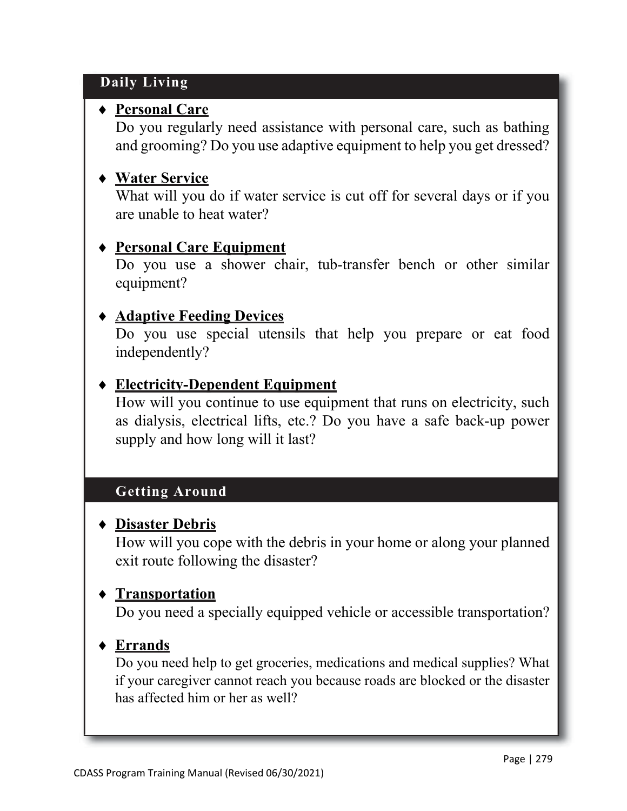## **Daily Living**

## ♦ **Personal Care**

Do you regularly need assistance with personal care, such as bathing and grooming? Do you use adaptive equipment to help you get dressed?

# ♦ **Water Service**

What will you do if water service is cut off for several days or if you are unable to heat water?

# ♦ **Personal Care Equipment**

Do you use a shower chair, tub-transfer bench or other similar equipment?

# ♦ **Adaptive Feeding Devices**

Do you use special utensils that help you prepare or eat food independently?

# ♦ **Electricity-Dependent Equipment**

How will you continue to use equipment that runs on electricity, such as dialysis, electrical lifts, etc.? Do you have a safe back-up power supply and how long will it last?

# **Getting Around**

#### ♦ **Disaster Debris**

How will you cope with the debris in your home or along your planned exit route following the disaster?

#### ♦ **Transportation**

Do you need a specially equipped vehicle or accessible transportation?

# ♦ **Errands**

Do you need help to get groceries, medications and medical supplies? What if your caregiver cannot reach you because roads are blocked or the disaster has affected him or her as well?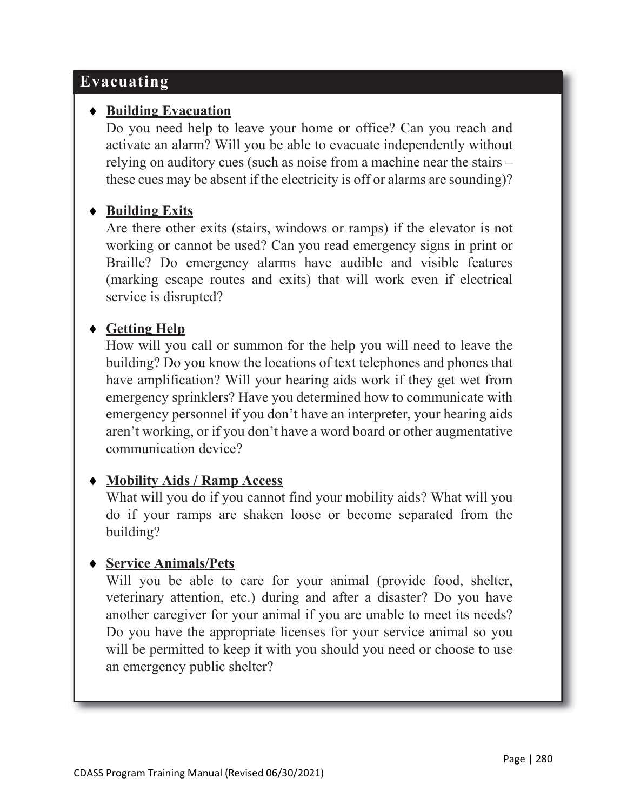# **Evacuating**

#### ♦ **Building Evacuation**

Do you need help to leave your home or office? Can you reach and activate an alarm? Will you be able to evacuate independently without relying on auditory cues (such as noise from a machine near the stairs – these cues may be absent if the electricity is off or alarms are sounding)?

#### ♦ **Building Exits**

Are there other exits (stairs, windows or ramps) if the elevator is not working or cannot be used? Can you read emergency signs in print or Braille? Do emergency alarms have audible and visible features (marking escape routes and exits) that will work even if electrical service is disrupted?

#### ♦ **Getting Help**

How will you call or summon for the help you will need to leave the building? Do you know the locations of text telephones and phones that have amplification? Will your hearing aids work if they get wet from emergency sprinklers? Have you determined how to communicate with emergency personnel if you don't have an interpreter, your hearing aids aren't working, or if you don't have a word board or other augmentative communication device?

#### ♦ **Mobility Aids / Ramp Access**

What will you do if you cannot find your mobility aids? What will you do if your ramps are shaken loose or become separated from the building?

#### ♦ **Service Animals/Pets**

Will you be able to care for your animal (provide food, shelter, veterinary attention, etc.) during and after a disaster? Do you have another caregiver for your animal if you are unable to meet its needs? Do you have the appropriate licenses for your service animal so you will be permitted to keep it with you should you need or choose to use an emergency public shelter?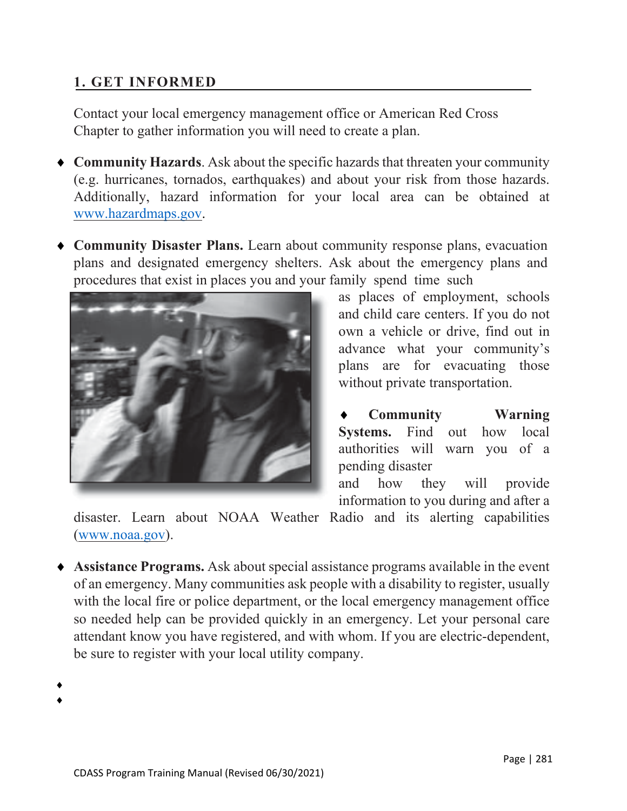#### **1. GET INFORMED**

Contact your local emergency management office or American Red Cross Chapter to gather information you will need to create a plan.

- ♦ **Community Hazards**. Ask about the specific hazards that threaten your community (e.g. hurricanes, tornados, earthquakes) and about your risk from those hazards. Additionally, hazard information for your local area can be obtained at [www.hazardmaps.gov.](http://www.hazardmaps.gov/)
- ♦ **Community Disaster Plans.** Learn about community response plans, evacuation plans and designated emergency shelters. Ask about the emergency plans and procedures that exist in places you and your family spend time such



as places of employment, schools and child care centers. If you do not own a vehicle or drive, find out in advance what your community's plans are for evacuating those without private transportation.

**Community Warning Systems.** Find out how local authorities will warn you of a pending disaster

and how they will provide information to you during and after a

disaster. Learn about NOAA Weather Radio and its alerting capabilities [\(www.noaa.gov\)](http://www.noaa.gov/).

♦ **Assistance Programs.** Ask about special assistance programs available in the event of an emergency. Many communities ask people with a disability to register, usually with the local fire or police department, or the local emergency management office so needed help can be provided quickly in an emergency. Let your personal care attendant know you have registered, and with whom. If you are electric-dependent, be sure to register with your local utility company.

♦ ♦

CDASS Program Training Manual (Revised 06/30/2021)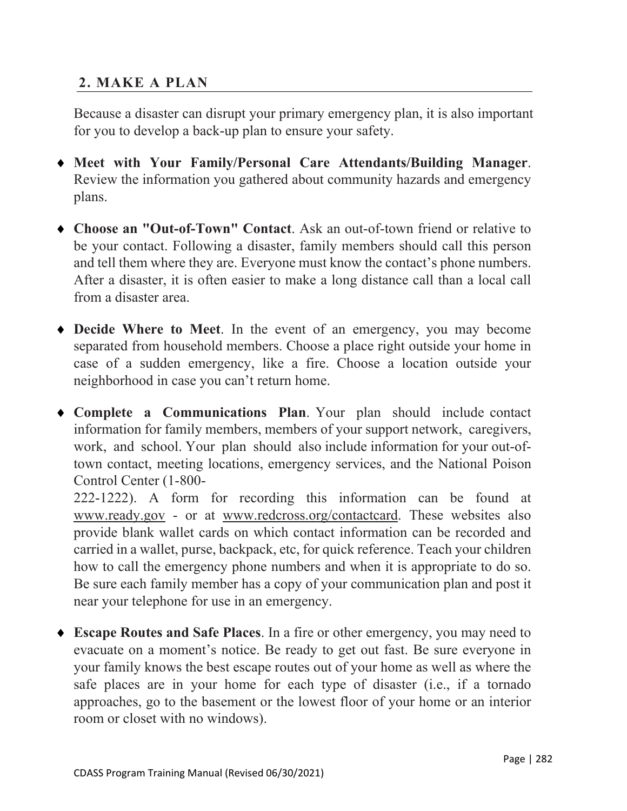#### **2. MAKE A PLAN**

Because a disaster can disrupt your primary emergency plan, it is also important for you to develop a back-up plan to ensure your safety.

- ♦ **Meet with Your Family/Personal Care Attendants/Building Manager**. Review the information you gathered about community hazards and emergency plans.
- ♦ **Choose an "Out-of-Town" Contact**. Ask an out-of-town friend or relative to be your contact. Following a disaster, family members should call this person and tell them where they are. Everyone must know the contact's phone numbers. After a disaster, it is often easier to make a long distance call than a local call from a disaster area.
- ♦ **Decide Where to Meet**. In the event of an emergency, you may become separated from household members. Choose a place right outside your home in case of a sudden emergency, like a fire. Choose a location outside your neighborhood in case you can't return home.
- ♦ **Complete a Communications Plan**. Your plan should include contact information for family members, members of your support network, caregivers, work, and school. Your plan should also include information for your out-oftown contact, meeting locations, emergency services, and the National Poison Control Center (1-800-

222-1222). A form for recording this information can be found at [www.ready.gov](http://www.ready.gov/) - or at [www.redcross.org/contactcard. T](http://www.redcross.org/contactcard)hese websites also provide blank wallet cards on which contact information can be recorded and carried in a wallet, purse, backpack, etc, for quick reference. Teach your children how to call the emergency phone numbers and when it is appropriate to do so. Be sure each family member has a copy of your communication plan and post it near your telephone for use in an emergency.

♦ **Escape Routes and Safe Places**. In a fire or other emergency, you may need to evacuate on a moment's notice. Be ready to get out fast. Be sure everyone in your family knows the best escape routes out of your home as well as where the safe places are in your home for each type of disaster (i.e., if a tornado approaches, go to the basement or the lowest floor of your home or an interior room or closet with no windows).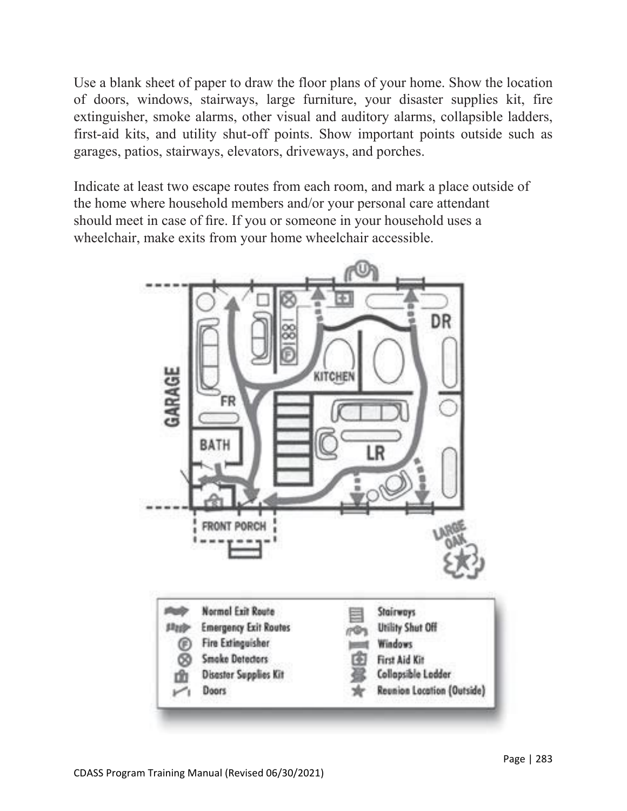Use a blank sheet of paper to draw the floor plans of your home. Show the location of doors, windows, stairways, large furniture, your disaster supplies kit, fire extinguisher, smoke alarms, other visual and auditory alarms, collapsible ladders, first-aid kits, and utility shut-off points. Show important points outside such as garages, patios, stairways, elevators, driveways, and porches.

Indicate at least two escape routes from each room, and mark a place outside of the home where household members and/or your personal care attendant should meet in case of fire. If you or someone in your household uses a wheelchair, make exits from your home wheelchair accessible.

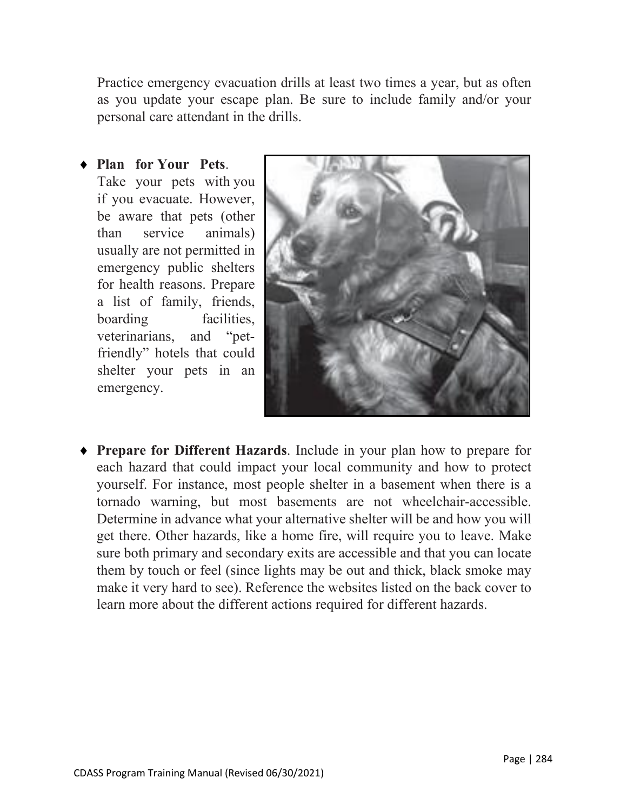Practice emergency evacuation drills at least two times a year, but as often as you update your escape plan. Be sure to include family and/or your personal care attendant in the drills.

♦ **Plan for Your Pets**. Take your pets with you if you evacuate. However, be aware that pets (other than service animals) usually are not permitted in emergency public shelters for health reasons. Prepare a list of family, friends, boarding facilities, veterinarians, and "petfriendly" hotels that could shelter your pets in an emergency.



♦ **Prepare for Different Hazards**. Include in your plan how to prepare for each hazard that could impact your local community and how to protect yourself. For instance, most people shelter in a basement when there is a tornado warning, but most basements are not wheelchair-accessible. Determine in advance what your alternative shelter will be and how you will get there. Other hazards, like a home fire, will require you to leave. Make sure both primary and secondary exits are accessible and that you can locate them by touch or feel (since lights may be out and thick, black smoke may make it very hard to see). Reference the websites listed on the back cover to learn more about the different actions required for different hazards.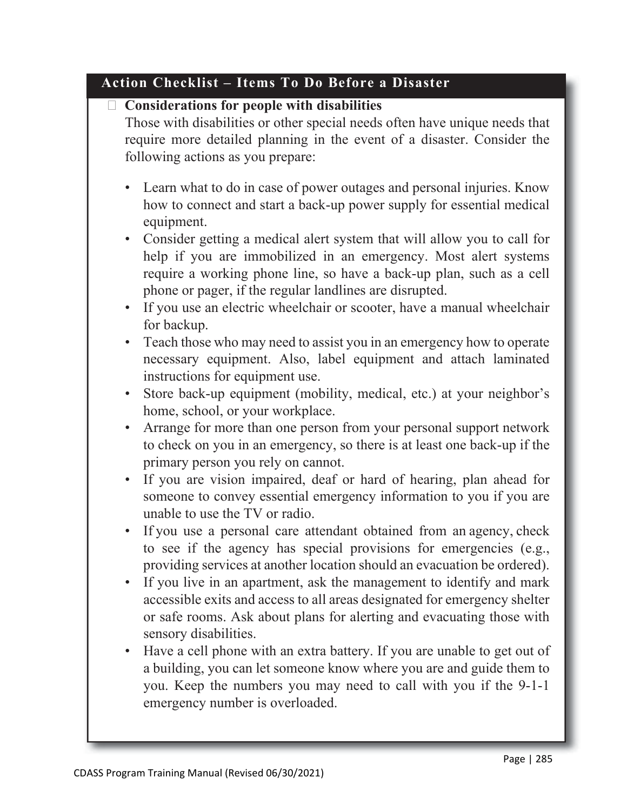#### **Action Checklist – Items To Do Before a Disaster**

#### **Considerations for people with disabilities**

Those with disabilities or other special needs often have unique needs that require more detailed planning in the event of a disaster. Consider the following actions as you prepare:

- Learn what to do in case of power outages and personal injuries. Know how to connect and start a back-up power supply for essential medical equipment.
- Consider getting a medical alert system that will allow you to call for help if you are immobilized in an emergency. Most alert systems require a working phone line, so have a back-up plan, such as a cell phone or pager, if the regular landlines are disrupted.
- If you use an electric wheelchair or scooter, have a manual wheelchair for backup.
- Teach those who may need to assist you in an emergency how to operate necessary equipment. Also, label equipment and attach laminated instructions for equipment use.
- Store back-up equipment (mobility, medical, etc.) at your neighbor's home, school, or your workplace.
- Arrange for more than one person from your personal support network to check on you in an emergency, so there is at least one back-up if the primary person you rely on cannot.
- If you are vision impaired, deaf or hard of hearing, plan ahead for someone to convey essential emergency information to you if you are unable to use the TV or radio.
- If you use a personal care attendant obtained from an agency, check to see if the agency has special provisions for emergencies (e.g., providing services at another location should an evacuation be ordered).
- If you live in an apartment, ask the management to identify and mark accessible exits and access to all areas designated for emergency shelter or safe rooms. Ask about plans for alerting and evacuating those with sensory disabilities.
- Have a cell phone with an extra battery. If you are unable to get out of a building, you can let someone know where you are and guide them to you. Keep the numbers you may need to call with you if the 9-1-1 emergency number is overloaded.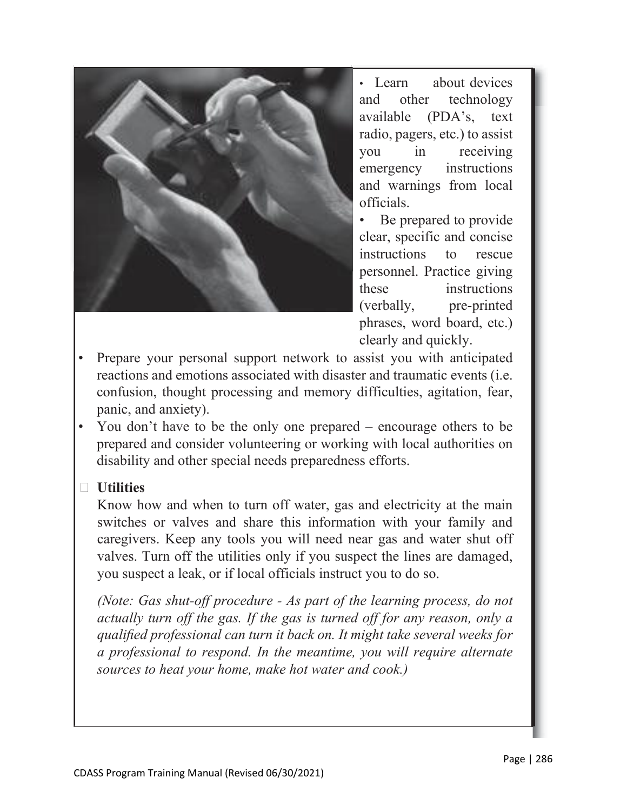

• Learn about devices and other technology available (PDA's, text radio, pagers, etc.) to assist you in receiving emergency instructions and warnings from local officials.

Be prepared to provide clear, specific and concise instructions to rescue personnel. Practice giving these instructions (verbally, pre-printed phrases, word board, etc.) clearly and quickly.

- Prepare your personal support network to assist you with anticipated reactions and emotions associated with disaster and traumatic events (i.e. confusion, thought processing and memory difficulties, agitation, fear, panic, and anxiety).
- You don't have to be the only one prepared encourage others to be prepared and consider volunteering or working with local authorities on disability and other special needs preparedness efforts.

#### **Utilities**

Know how and when to turn off water, gas and electricity at the main switches or valves and share this information with your family and caregivers. Keep any tools you will need near gas and water shut off valves. Turn off the utilities only if you suspect the lines are damaged, you suspect a leak, or if local officials instruct you to do so.

*(Note: Gas shut-off procedure - As part of the learning process, do not actually turn off the gas. If the gas is turned off for any reason, only a qualified professional can turn it back on. It might take several weeks for a professional to respond. In the meantime, you will require alternate sources to heat your home, make hot water and cook.)*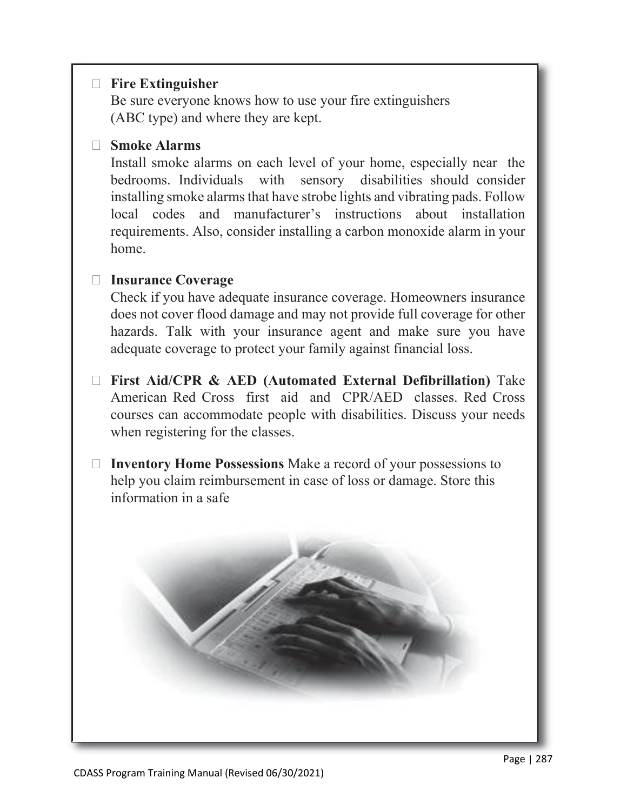#### **Fire Extinguisher**

Be sure everyone knows how to use your fire extinguishers (ABC type) and where they are kept.

#### **Smoke Alarms**

Install smoke alarms on each level of your home, especially near the bedrooms. Individuals with sensory disabilities should consider installing smoke alarms that have strobe lights and vibrating pads. Follow local codes and manufacturer's instructions about installation requirements. Also, consider installing a carbon monoxide alarm in your home.

#### **Insurance Coverage**

Check if you have adequate insurance coverage. Homeowners insurance does not cover flood damage and may not provide full coverage for other hazards. Talk with your insurance agent and make sure you have adequate coverage to protect your family against financial loss.

- **First Aid/CPR & AED (Automated External Defibrillation)** Take American Red Cross first aid and CPR/AED classes. Red Cross courses can accommodate people with disabilities. Discuss your needs when registering for the classes.
- **Inventory Home Possessions** Make a record of your possessions to help you claim reimbursement in case of loss or damage. Store this information in a safe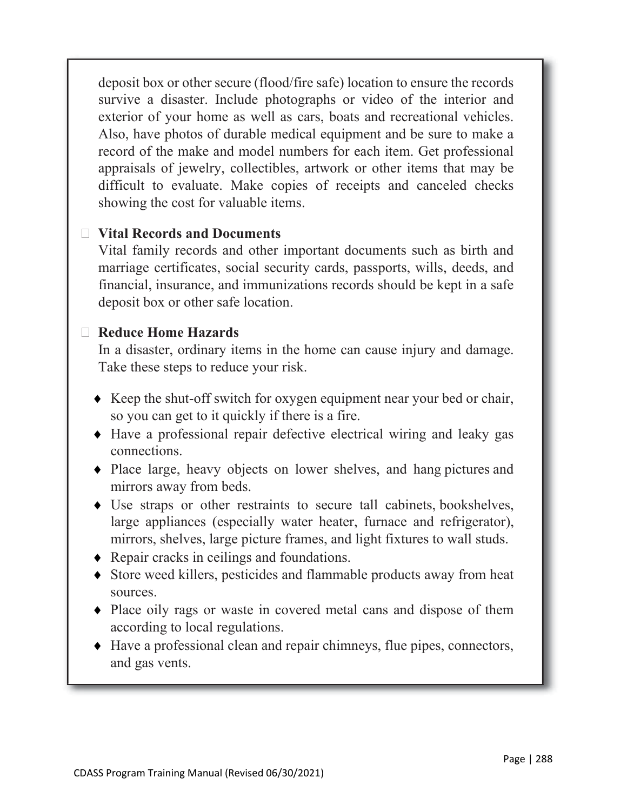deposit box or other secure (flood/fire safe) location to ensure the records survive a disaster. Include photographs or video of the interior and exterior of your home as well as cars, boats and recreational vehicles. Also, have photos of durable medical equipment and be sure to make a record of the make and model numbers for each item. Get professional appraisals of jewelry, collectibles, artwork or other items that may be difficult to evaluate. Make copies of receipts and canceled checks showing the cost for valuable items.

#### **Vital Records and Documents**

Vital family records and other important documents such as birth and marriage certificates, social security cards, passports, wills, deeds, and financial, insurance, and immunizations records should be kept in a safe deposit box or other safe location.

#### **Reduce Home Hazards**

In a disaster, ordinary items in the home can cause injury and damage. Take these steps to reduce your risk.

- ♦ Keep the shut-off switch for oxygen equipment near your bed or chair, so you can get to it quickly if there is a fire.
- ♦ Have a professional repair defective electrical wiring and leaky gas connections.
- ♦ Place large, heavy objects on lower shelves, and hang pictures and mirrors away from beds.
- ♦ Use straps or other restraints to secure tall cabinets, bookshelves, large appliances (especially water heater, furnace and refrigerator), mirrors, shelves, large picture frames, and light fixtures to wall studs.
- ♦ Repair cracks in ceilings and foundations.
- ♦ Store weed killers, pesticides and flammable products away from heat sources.
- ♦ Place oily rags or waste in covered metal cans and dispose of them according to local regulations.
- ♦ Have a professional clean and repair chimneys, flue pipes, connectors, and gas vents.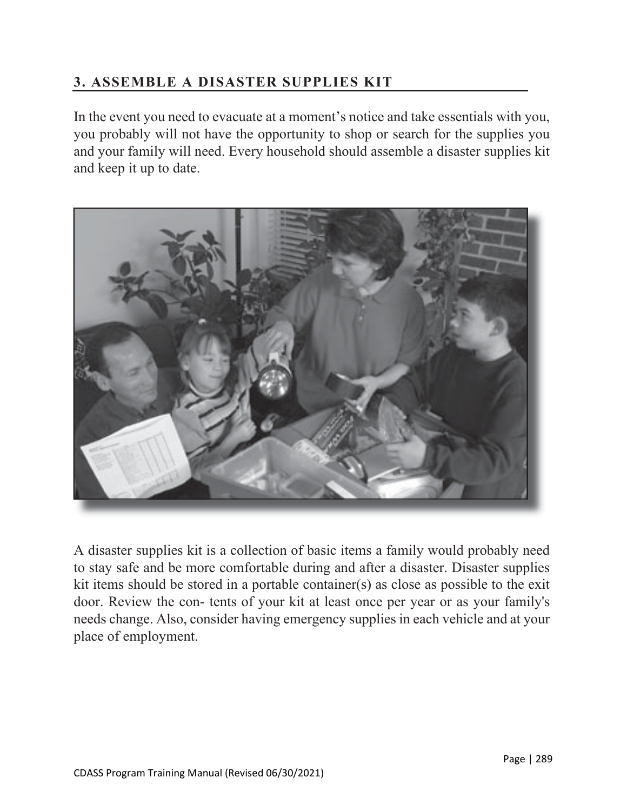## **3. ASSEMBLE A DISASTER SUPPLIES KIT**

In the event you need to evacuate at a moment's notice and take essentials with you, you probably will not have the opportunity to shop or search for the supplies you and your family will need. Every household should assemble a disaster supplies kit and keep it up to date.



A disaster supplies kit is a collection of basic items a family would probably need to stay safe and be more comfortable during and after a disaster. Disaster supplies kit items should be stored in a portable container(s) as close as possible to the exit door. Review the con- tents of your kit at least once per year or as your family's needs change. Also, consider having emergency supplies in each vehicle and at your place of employment.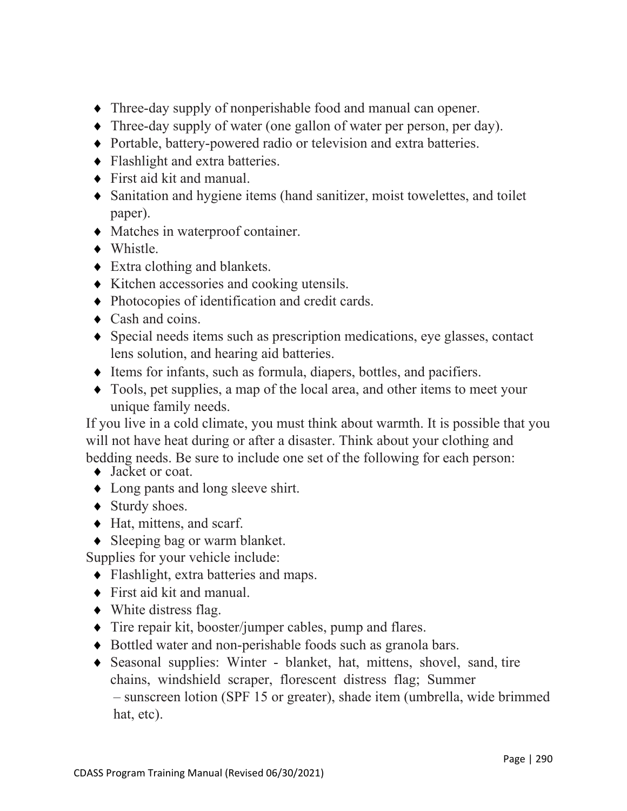- ♦ Three-day supply of nonperishable food and manual can opener.
- ♦ Three-day supply of water (one gallon of water per person, per day).
- ♦ Portable, battery-powered radio or television and extra batteries.
- ♦ Flashlight and extra batteries.
- ♦ First aid kit and manual.
- ♦ Sanitation and hygiene items (hand sanitizer, moist towelettes, and toilet paper).
- ♦ Matches in waterproof container.
- ♦ Whistle.
- $\triangle$  Extra clothing and blankets.
- ♦ Kitchen accessories and cooking utensils.
- ♦ Photocopies of identification and credit cards.
- $\triangleleft$  Cash and coins.
- ♦ Special needs items such as prescription medications, eye glasses, contact lens solution, and hearing aid batteries.
- ♦ Items for infants, such as formula, diapers, bottles, and pacifiers.
- ♦ Tools, pet supplies, a map of the local area, and other items to meet your unique family needs.

If you live in a cold climate, you must think about warmth. It is possible that you will not have heat during or after a disaster. Think about your clothing and bedding needs. Be sure to include one set of the following for each person:

- ◆ Jacket or coat.
- ♦ Long pants and long sleeve shirt.
- ◆ Sturdy shoes.
- ♦ Hat, mittens, and scarf.
- ♦ Sleeping bag or warm blanket.

Supplies for your vehicle include:

- ♦ Flashlight, extra batteries and maps.
- ♦ First aid kit and manual.
- $\blacklozenge$  White distress flag.
- ♦ Tire repair kit, booster/jumper cables, pump and flares.
- ♦ Bottled water and non-perishable foods such as granola bars.
- ♦ Seasonal supplies: Winter blanket, hat, mittens, shovel, sand, tire chains, windshield scraper, florescent distress flag; Summer – sunscreen lotion (SPF 15 or greater), shade item (umbrella, wide brimmed hat, etc).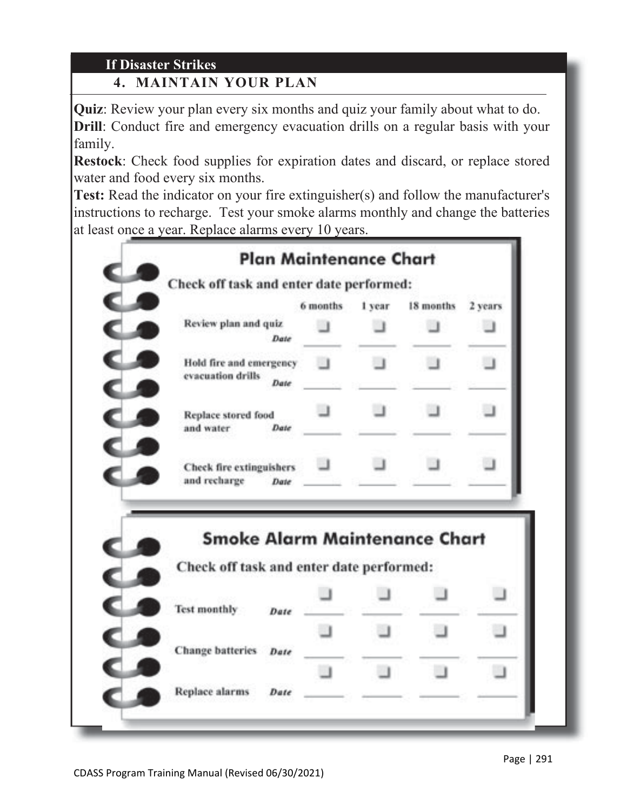# **If Disaster Strikes**

# **4. MAINTAIN YOUR PLAN**

**Quiz**: Review your plan every six months and quiz your family about what to do. **Drill**: Conduct fire and emergency evacuation drills on a regular basis with your family.

**Restock**: Check food supplies for expiration dates and discard, or replace stored water and food every six months.

**Test:** Read the indicator on your fire extinguisher(s) and follow the manufacturer's instructions to recharge. Test your smoke alarms monthly and change the batteries at least once a year. Replace alarms every 10 years.

|                                                                                                                 | 6 months | 1 year. | 18 months | 2 years |
|-----------------------------------------------------------------------------------------------------------------|----------|---------|-----------|---------|
| Review plan and quiz<br>Date                                                                                    |          |         |           |         |
| Hold fire and emergency<br>evacuation drills<br><b>Date</b>                                                     |          | - I     |           | $\Box$  |
| Replace stored food<br>and water<br>Date                                                                        |          |         |           |         |
|                                                                                                                 |          |         |           |         |
| <b>Check fire extinguishers</b><br>and recharge<br>Date                                                         |          |         |           |         |
| <b>Smoke Alarm Maintenance Chart</b><br>Check off task and enter date performed:<br><b>Test monthly</b><br>Date |          |         |           |         |
| <b>Change batteries</b><br>Date                                                                                 |          |         |           |         |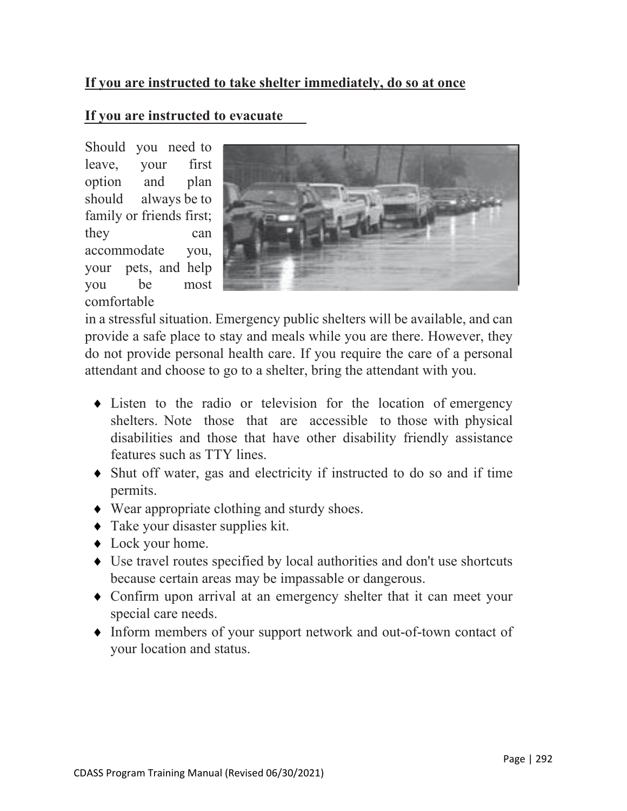#### **If you are instructed to take shelter immediately, do so at once**

#### **If you are instructed to evacuate**

Should you need to leave, your first option and plan should always be to family or friends first; they can accommodate you, your pets, and help you be most comfortable



in a stressful situation. Emergency public shelters will be available, and can provide a safe place to stay and meals while you are there. However, they do not provide personal health care. If you require the care of a personal attendant and choose to go to a shelter, bring the attendant with you.

- ♦ Listen to the radio or television for the location of emergency shelters. Note those that are accessible to those with physical disabilities and those that have other disability friendly assistance features such as TTY lines.
- ♦ Shut off water, gas and electricity if instructed to do so and if time permits.
- ♦ Wear appropriate clothing and sturdy shoes.
- ♦ Take your disaster supplies kit.
- ♦ Lock your home.
- ♦ Use travel routes specified by local authorities and don't use shortcuts because certain areas may be impassable or dangerous.
- ♦ Confirm upon arrival at an emergency shelter that it can meet your special care needs.
- ♦ Inform members of your support network and out-of-town contact of your location and status.